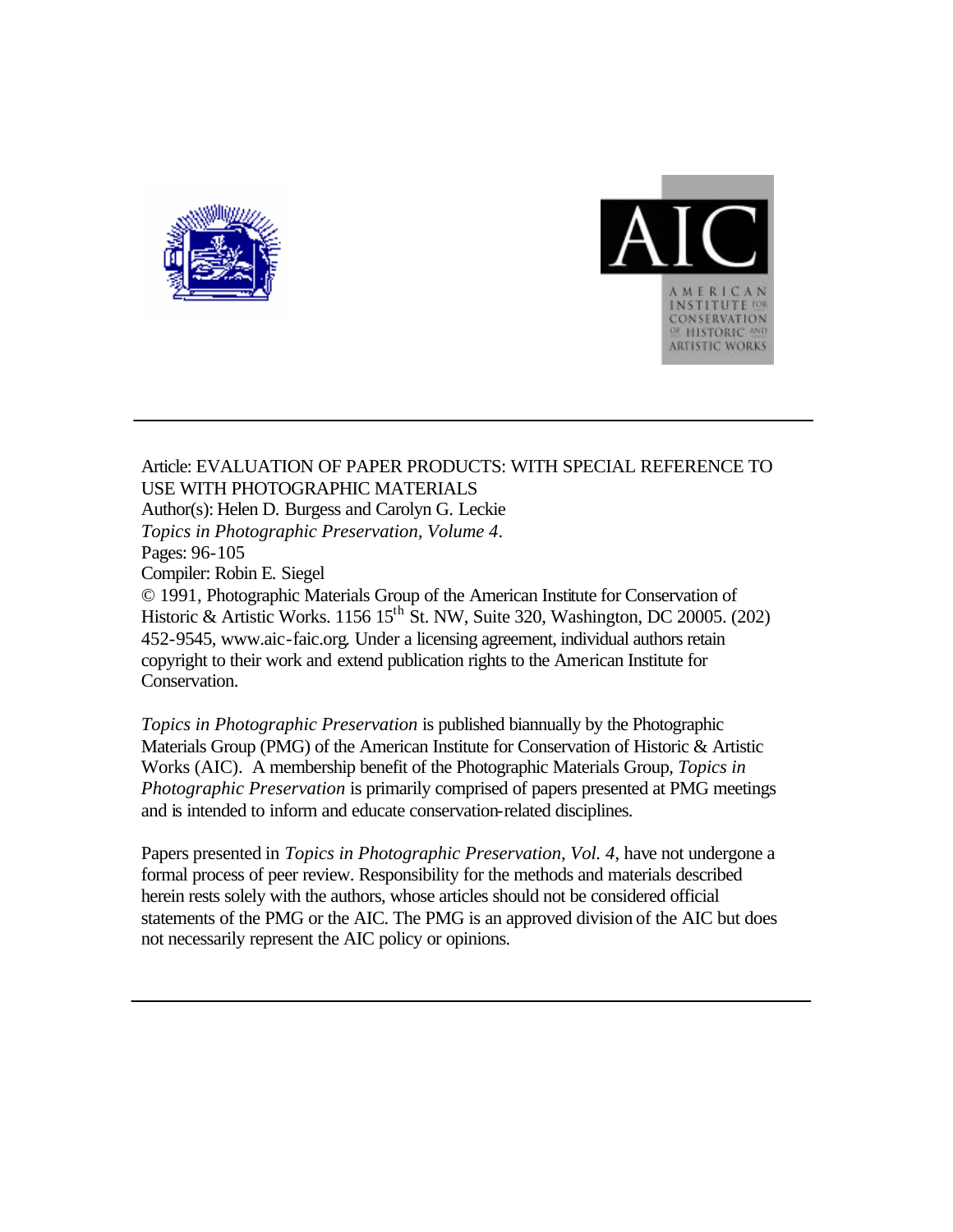



Article: EVALUATION OF PAPER PRODUCTS: WITH SPECIAL REFERENCE TO USE WITH PHOTOGRAPHIC MATERIALS Author(s): Helen D. Burgess and Carolyn G. Leckie *Topics in Photographic Preservation, Volume 4*. Pages: 96-105 Compiler: Robin E. Siegel © 1991, Photographic Materials Group of the American Institute for Conservation of Historic & Artistic Works. 1156 15<sup>th</sup> St. NW, Suite 320, Washington, DC 20005. (202) 452-9545, www.aic-faic.org. Under a licensing agreement, individual authors retain copyright to their work and extend publication rights to the American Institute for Conservation.

*Topics in Photographic Preservation* is published biannually by the Photographic Materials Group (PMG) of the American Institute for Conservation of Historic & Artistic Works (AIC). A membership benefit of the Photographic Materials Group, *Topics in Photographic Preservation* is primarily comprised of papers presented at PMG meetings and is intended to inform and educate conservation-related disciplines.

Papers presented in *Topics in Photographic Preservation, Vol. 4*, have not undergone a formal process of peer review. Responsibility for the methods and materials described herein rests solely with the authors, whose articles should not be considered official statements of the PMG or the AIC. The PMG is an approved division of the AIC but does not necessarily represent the AIC policy or opinions.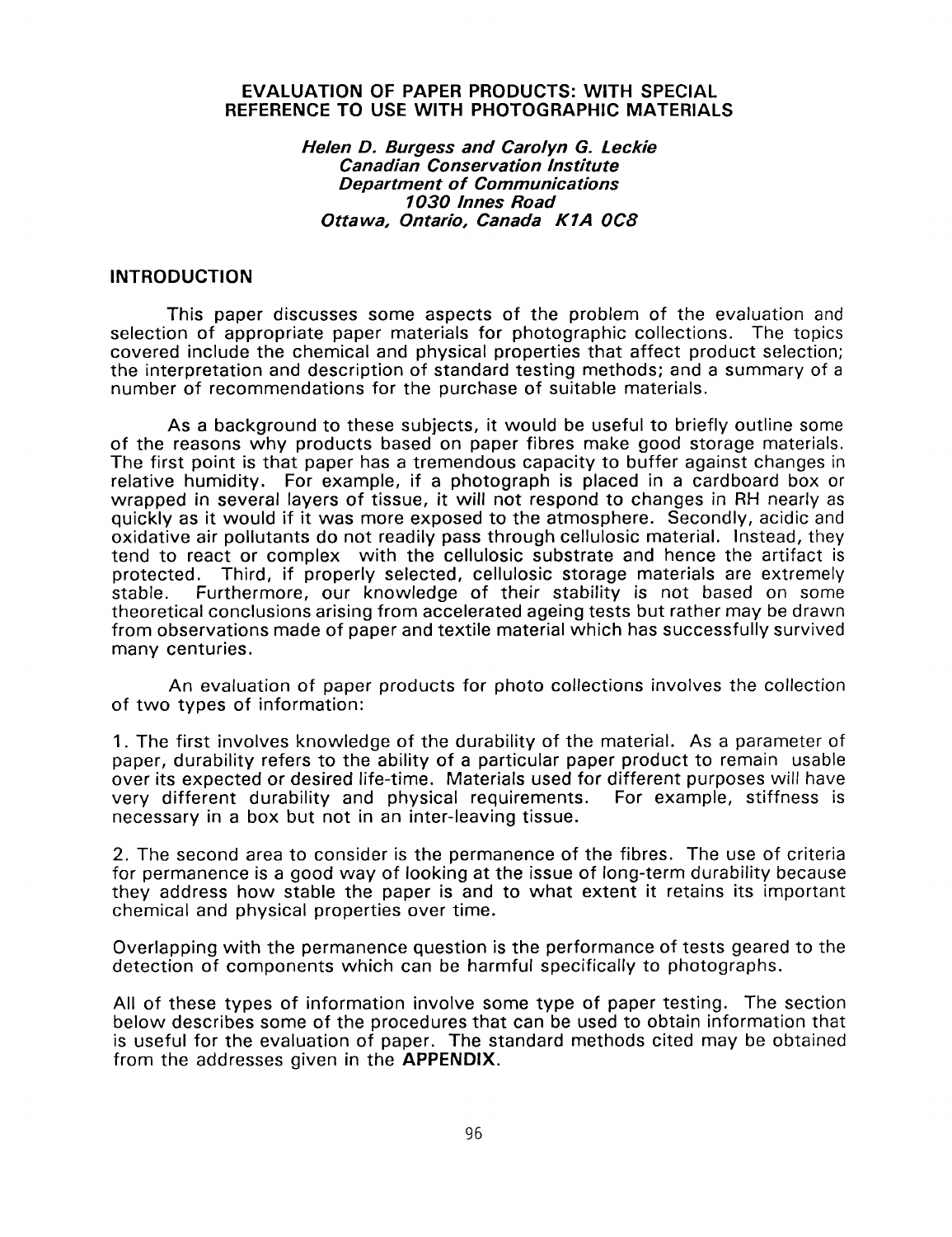#### **EVALUATION OF PAPER PRODUCTS: WITH SPECIAL REFERENCE TO USE WITH PHOTOGRAPHIC MATERIALS**

#### *Helen D. Burgess and Carolyn* **G.** *Leckie Canadian Conservation Institute Department of Communications 1030 lnnes Road Ottawa, Ontario, Canada K 7A OC8*

#### **INTRODUCTION**

This paper discusses some aspects of the problem of the evaluation and selection of appropriate paper materials for photographic collections. The topics covered include the chemical and physical properties that affect product selection; the interpretation and description of standard testing methods; and a summary of a number of recommendations for the purchase of suitable materials.

As a background to these subjects, it would be useful to briefly outline some of the reasons why products based on paper fibres make good storage materials. The first point is that paper has a tremendous capacity to buffer against changes in relative humidity. For example, if a photograph is placed in a cardboard box or wrapped in several layers of tissue, it will not respond to changes in RH nearly as quickly as it would if it was more exposed to the atmosphere. Secondly, acidic and oxidative air pollutants do not readily pass through cellulosic material. Instead, they tend to react or complex with the cellulosic substrate and hence the artifact is protected. Third, if properly selected, cellulosic storage materials are extremely stable. Furthermore, our knowledge of their stability is not based on some theoretical conclusions arising from accelerated ageing tests but rather may be drawn from observations made of paper and textile material which has successfully survived many centuries.

An evaluation of paper products for photo collections involves the collection of two types of information:

1. The first involves knowledge of the durability of the material. As a parameter of paper, durability refers to the ability of a particular paper product to remain usable over its expected or desired life-time. Materials used for different purposes will have very different durability and physical requirements. For example, stiffness is necessary in a box but not in an inter-leaving tissue.

2. The second area to consider is the permanence of the fibres. The use of criteria for permanence is a good way of looking at the issue of long-term durability because they address how stable the paper is and to what extent it retains its important chemical and physical properties over time.

Overlapping with the permanence question is the performance of tests geared to the detection of components which can be harmful specifically to photographs.

All of these types of information involve some type of paper testing. The section below describes some of the procedures that can be used to obtain information that is useful for the evaluation of paper. The standard methods cited may be obtained from the addresses given in the **APPENDIX.**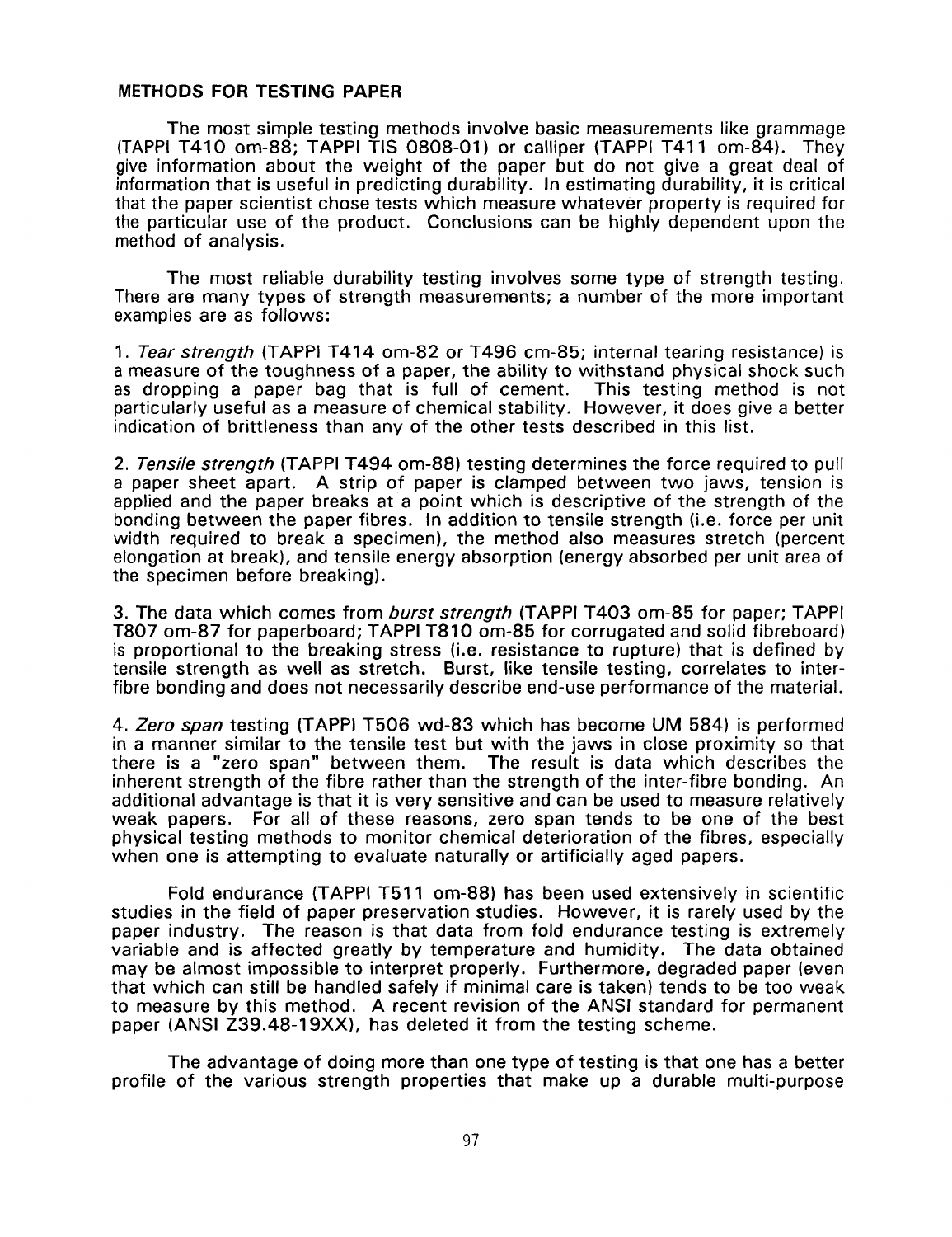#### **METHODS FOR TESTING PAPER**

The most simple testing methods involve basic measurements like grammage (TAPPI T410 om-88; TAPPI TIS 0808-01) or calliper (TAPPI T411 om-84). They give information about the weight of the paper but do not give a great deal of information that is useful in predicting durability. In estimating durability, it is critical that the paper scientist chose tests which measure whatever property is required for the particular use of the product. Conclusions can be highly dependent upon the method of analysis.

The most reliable durability testing involves some type of strength testing. There are many types of strength measurements; a number of the more important examples are as follows:

1. *Tear strength* (TAPPI T414 om-82 or T496 cm-85; internal tearing resistance) is a measure of the toughness of a paper, the ability to withstand physical shock such as dropping a paper bag that is full of cement. This testing method is not particularly useful as a measure of chemical stability. However, it does give a better indication of brittleness than any of the other tests described in this list.

2. *Tensile strength* (TAPPI T494 om-88) testing determines the force required to pull a paper sheet apart. **A** strip of paper is clamped between two jaws, tension is applied and the paper breaks at a point which is descriptive of the strength of the bonding between the paper fibres. In addition to tensile strength (i.e. force per unit width required to break a specimen), the method also measures stretch (percent elongation at break), and tensile energy absorption (energy absorbed per unit area of the specimen before breaking).

3. The data which comes from *burst strength* (TAPPI T403 om-85 for paper; TAPPI T807 om-87 for paperboard; TAPPI T810 om-85 for corrugated and solid fibreboard) is proportional to the breaking stress (i.e. resistance to rupture) that **is** defined by tensile strength as well as stretch. Burst, like tensile testing, correlates to interfibre bonding and does not necessarily describe end-use performance of the material.

4. *Zero span* testing **(TAPPI** T506 wd-83 which has become UM 584) is performed in a manner similar to the tensile test but with the jaws in close proximity *so* that The result is data which describes the inherent strength of the fibre rather than the strength of the inter-fibre bonding. An additional advantage is that it *is* very sensitive and can be used to measure relatively weak papers. For all of these reasons, zero span tends to be one of the best physical testing methods to monitor chemical deterioration of the fibres, especially when one is attempting to evaluate naturally or artificially aged papers.

Fold endurance (TAPPI T511 om-88) has been used extensively in scientific studies in the field of paper preservation studies. However, it is rarely used by the paper industry. The reason is that data from fold endurance testing is extremely variable and is affected greatly **by** temperature and humidity. The data obtained may be almost impossible to interpret properly. Furthermore, degraded paper (even that which can still be handled safely if minimal care is taken) tends to be too weak to measure by this method. **A** recent revision of the **ANSI** standard for permanent paper **(ANSI Z39.48-19XX)**, has deleted it from the testing scheme.

The advantage of doing more than one type of testing is that one has a better profile of the various strength properties that make up a durable multi-purpose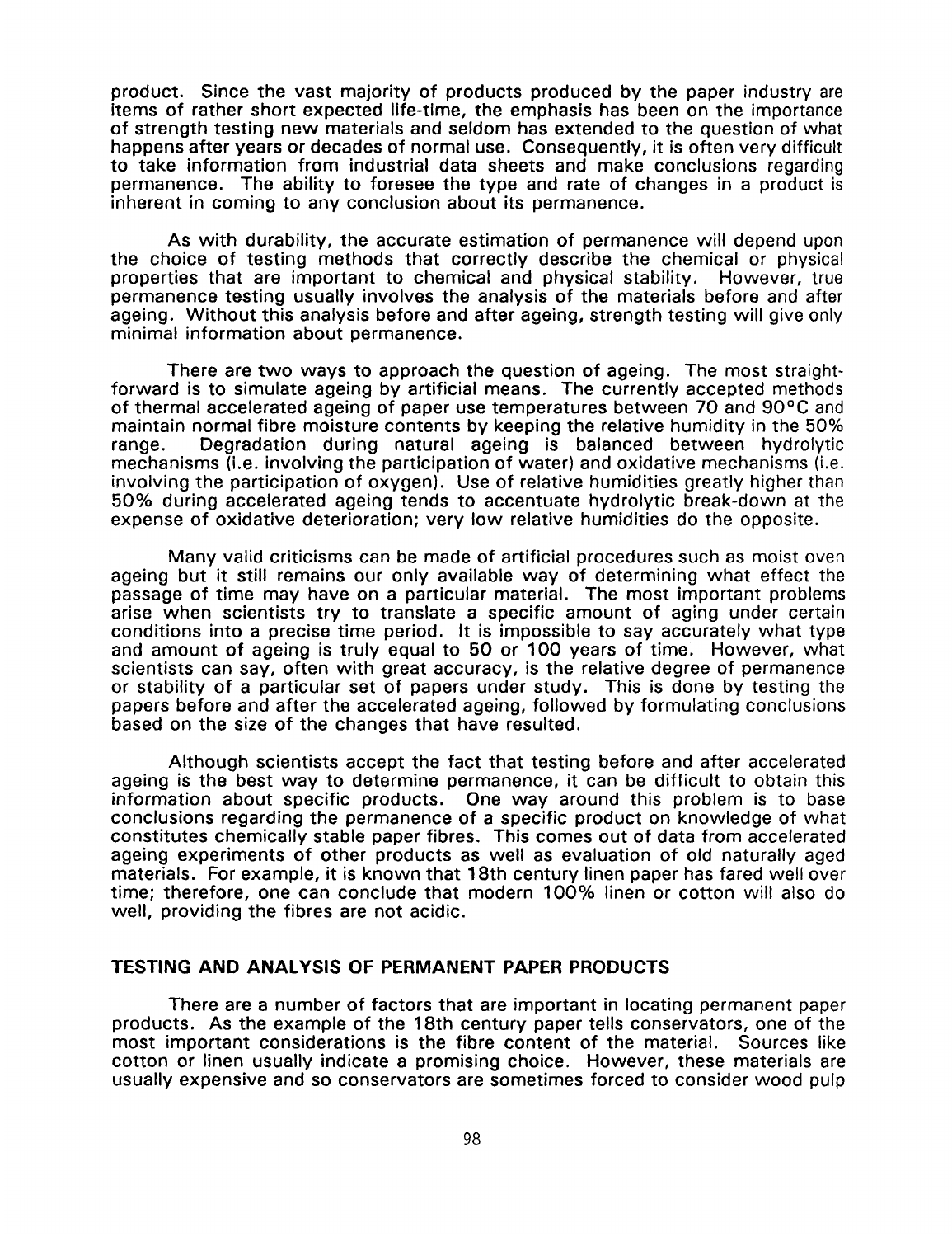product. Since the vast majority of products produced by the paper industry are items of rather short expected life-time, the emphasis has been on the importance of strength testing new materials and seldom has extended to the question of what happens after years or decades of normal use. Consequently, it is often very difficult to take information from industrial data sheets and make conclusions regarding permanence. The ability to foresee the type and rate of changes in a product is inherent in coming to any conclusion about its permanence.

As with durability, the accurate estimation of permanence will depend upon the choice of testing methods that correctly describe the chemical or physical properties that are important to chemical and physical stability. However, true permanence testing usually involves the analysis of the materials before and after ageing. Without this analysis before and after ageing, strength testing will give only minimal information about permanence.

There are two ways to approach the question of ageing. The most straightforward is to simulate ageing by artificial means. The currently accepted methods of thermal accelerated ageing of paper use temperatures between 70 and **90°C** and maintain normal fibre moisture contents by keeping the relative humidity in the 50% range. Degradation during natural ageing is balanced between hydrolytic mechanisms (i.e. involving the participation of water) and oxidative mechanisms (i.e. involving the participation of oxygen). Use of relative humidities greatly higher than 50% during accelerated ageing tends to accentuate hydrolytic break-down at the expense of oxidative deterioration; very low relative humidities do the opposite.

Many valid criticisms can be made of artificial procedures such as moist oven ageing but it still remains our only available way of determining what effect the passage of time may have on a particular material. The most important problems arise when scientists try to translate a specific amount of aging under certain conditions into a precise time period. It is impossible to say accurately what type and amount of ageing is truly equal to 50 or 100 years of time. However, what scientists can say, often with great accuracy, is the relative degree of permanence or stability of a particular set of papers under study. This **is** done by testing the papers before and after the accelerated ageing, followed by formulating conclusions based on the size of the changes that have resulted.

Although scientists accept the fact that testing before and after accelerated ageing is the best way to determine permanence, it can be difficult to obtain this information about specific products. One way around this problem is to base conclusions regarding the permanence of a specific product on knowledge of what constitutes chemically stable paper fibres. This comes out of data from accelerated ageing experiments of other products as well as evaluation of old naturally aged materials. For example, it is known that 18th century linen paper has fared well over time; therefore, one can conclude that modern 100% linen or cotton will also do well, providing the fibres are not acidic.

## **TESTING AND ANALYSIS OF PERMANENT PAPER PRODUCTS**

There are a number of factors that are important in locating permanent paper products. **As** the example of the 18th century paper tells conservators, one of the most important considerations is the fibre content of the material. Sources like cotton or linen usually indicate a promising choice. However, these materials are usually expensive and **so** conservators are sometimes forced to consider wood pulp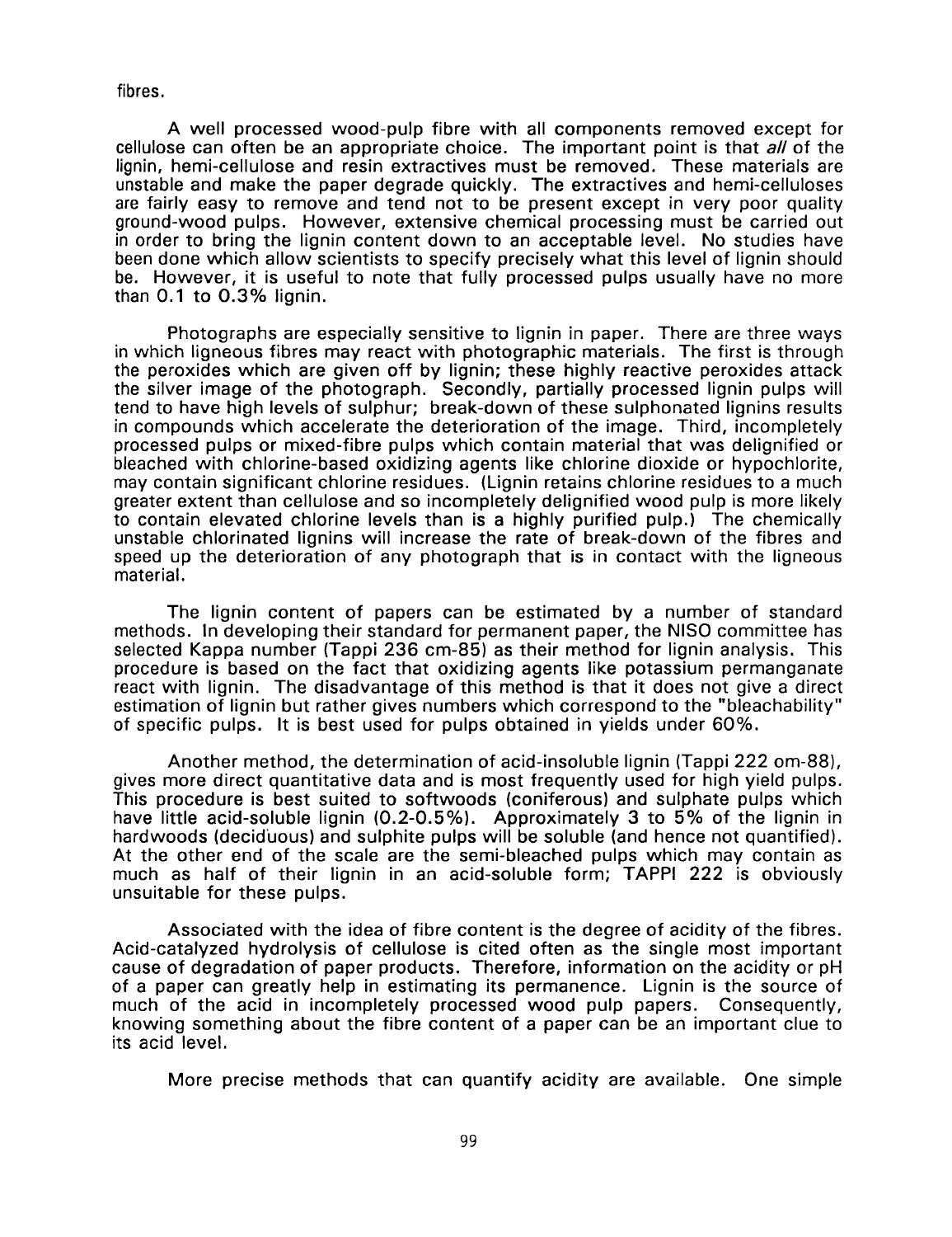fibres.

A well processed wood-pulp fibre with all components removed except for cellulose can often be an appropriate choice. The important point is that *all* of the lignin, hemi-cellulose and resin extractives must be removed. These materials are unstable and make the paper degrade quickly. The extractives and hemi-celluloses are fairly easy to remove and tend not to be present except in very poor quality ground-wood pulps. However, extensive chemical processing must be carried out in order to bring the lignin content down to an acceptable level. No studies have been done which allow scientists to specify precisely what this level of lignin should be. However, it is useful to note that fully processed pulps usually have no more than 0.1 to 0.3% lignin.

Photographs are especially sensitive to lignin in paper. There are three ways in which ligneous fibres may react with photographic materials. The first is through the peroxides which are given off by lignin; these highly reactive peroxides attack the silver image of the photograph. Secondly, partially processed lignin pulps will tend to have high levels of sulphur; break-down of these sulphonated lignins results in compounds which accelerate the deterioration of the image. Third, incompletely processed pulps or mixed-fibre pulps which contain material that was delignified or bleached with chlorine-based oxidizing agents like chlorine dioxide or hypochlorite, may contain significant chlorine residues. (Lignin retains chlorine residues to a much greater extent than cellulose and **so** incompletely delignified wood pulp is more likely to contain elevated chlorine levels than is a highly purified pulp.) The chemically unstable chlorinated lignins will increase the rate of break-down of the fibres and speed up the deterioration of any photograph that is in contact with the ligneous material.

The lignin content of papers can be estimated by a number of standard methods. In developing their standard for permanent paper, the NlSO committee has selected Kappa number (Tappi 236 cm-85) as their method for lignin analysis. This procedure is based on the fact that oxidizing agents like potassium permanganate react with lignin. The disadvantage of this method is that it does not give a direct estimation of lignin but rather gives numbers which correspond to the "bleachability" of specific pulps. It is best used for pulps obtained in yields under 60%.

Another method, the determination of acid-insoluble lignin (Tappi 222 om-88), gives more direct quantitative data and is most frequently used for high yield pulps. This procedure is best suited to softwoods (coniferous) and sulphate pulps which have little acid-soluble lignin (0.2-0.5%). Approximately 3 to 5% of the lignin in hardwoods (deciduous) and sulphite pulps will be soluble (and hence not quantified). At the other end of the scale are the semi-bleached pulps which may contain as much as half of their lignin in an acid-soluble form; TAPPI 222 is obviously unsuitable for these pulps.

Associated with the idea of fibre content is the degree of acidity of the fibres. Acid-catalyzed hydrolysis of cellulose is cited often as the single most important cause of degradation of paper products. Therefore, information on the acidity or pH of a paper can greatly help in estimating its permanence. Lignin is the source of much of the acid in incompletely processed wood pulp papers. Consequently, knowing something about the fibre content of a paper can be an important clue to its acid level.

More precise methods that can quantify acidity are available. One simple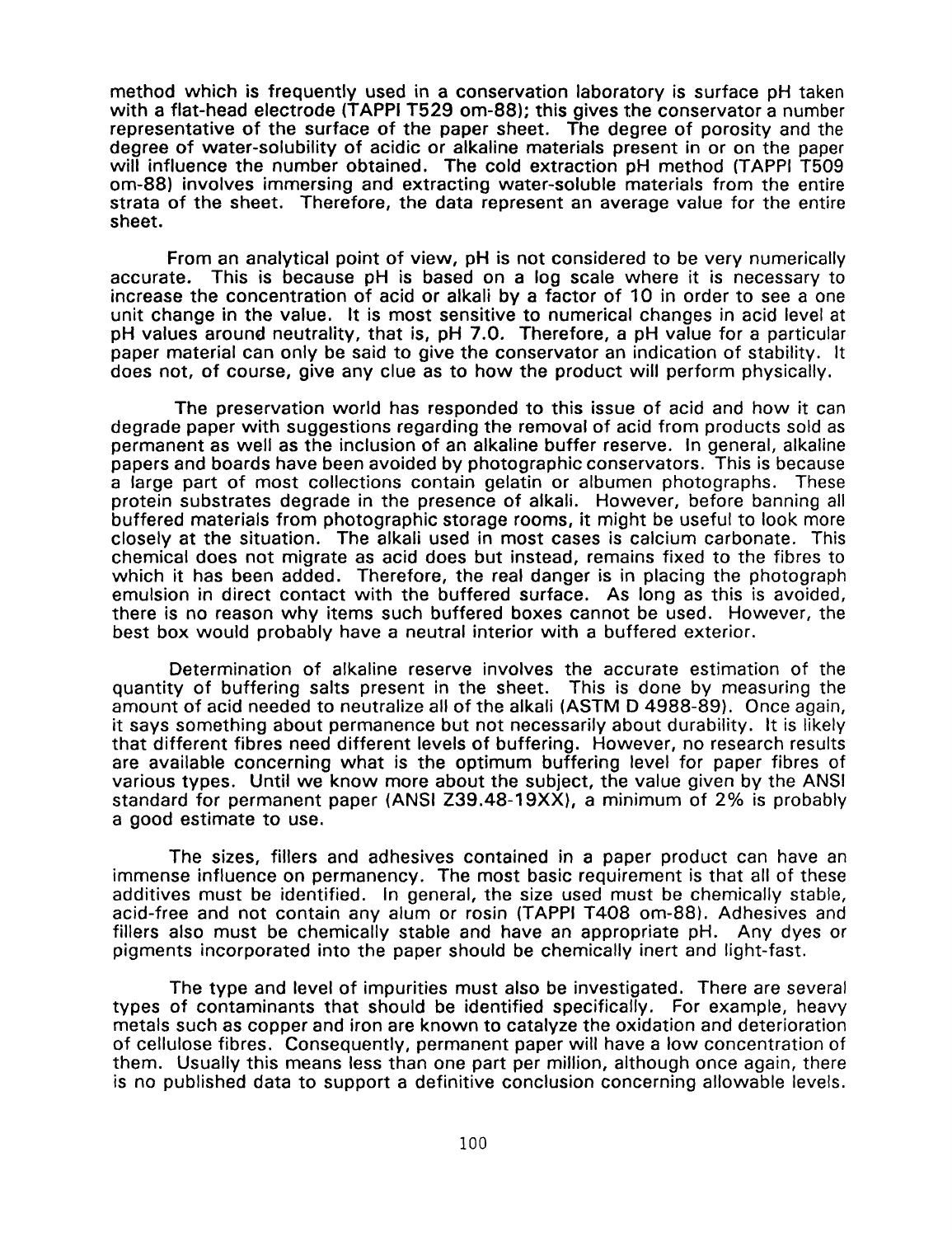method which **is** frequently used in a conservation laboratory is surface pH taken with a flat-head electrode (TAPPI T529 om-88); this gives the conservator a number representative of the surface of the paper sheet. The degree of porosity and the degree of water-solubility of acidic or alkaline materials present in or on the paper will influence the number obtained. The cold extraction pH method (TAPPI T509 om-88) involves immersing and extracting water-soluble materials from the entire strata of the sheet. Therefore, the data represent an average value for the entire sheet.

From an analytical point of view, pH is not considered to be very numerically accurate. This is because pH is based on a log scale where it is necessary to increase the concentration of acid or alkali by a factor of 10 in order to see a one unit change in the value. It is most sensitive to numerical changes in acid level at pH values around neutrality, that is, pH 7.0. Therefore, a pH value for a particular paper material can only be said to give the conservator an indication of stability. It does not, of course, give any clue as to how the product will perform physically.

The preservation world has responded to this issue of acid and how it can degrade paper with suggestions regarding the removal of acid from products sold as permanent as well as the inclusion of an alkaline buffer reserve. In general, alkaline papers and boards have been avoided by photographic conservators. This is because a large part of most collections contain gelatin or albumen photographs. These protein substrates degrade in the presence of alkali. However, before banning all buffered materials from photographic storage rooms, it might be useful to look more closely at the situation. The alkali used in most cases is calcium carbonate. This chemical does not migrate as acid does but instead, remains fixed to the fibres to which it has been added. Therefore, the real danger **is** in placing the photograph emulsion in direct contact with the buffered surface. As long as this is avoided, there is no reason why items such buffered boxes cannot be used. However, the best box would probably have a neutral interior with a buffered exterior.

Determination of alkaline reserve involves the accurate estimation of the quantity of buffering salts present in the sheet. This is done by measuring the amount of acid needed to neutralize all of the alkali (ASTM D 4988-89). Once again, it says something about permanence but not necessarily about durability. It is likely that different fibres need different levels of buffering. However, no research results are available concerning what is the optimum buffering level for paper fibres of various types. Until we know more about the subject, the value given by the ANSI standard for permanent paper (ANSI Z39.48-19XX), a minimum of 2% is probably a good estimate to use.

The sizes, fillers and adhesives contained in a paper product can have an immense influence on permanency. The most basic requirement is that all of these additives must be identified. In general, the size used must be chemically stable, acid-free and not contain any alum or rosin (TAPPI T408 om-88). Adhesives and fillers also must be chemically stable and have an appropriate pH. Any dyes or pigments incorporated into the paper should be chemically inert and light-fast.

The type and level of impurities must also be investigated. There are several types of contaminants that should be identified specifically. For example, heavy metals such as copper and iron are known to catalyze the oxidation and deterioration of cellulose fibres. Consequently, permanent paper will have a low concentration of them. Usually this means less than one part per million, although once again, there is no published data to support a definitive conclusion concerning allowable levels.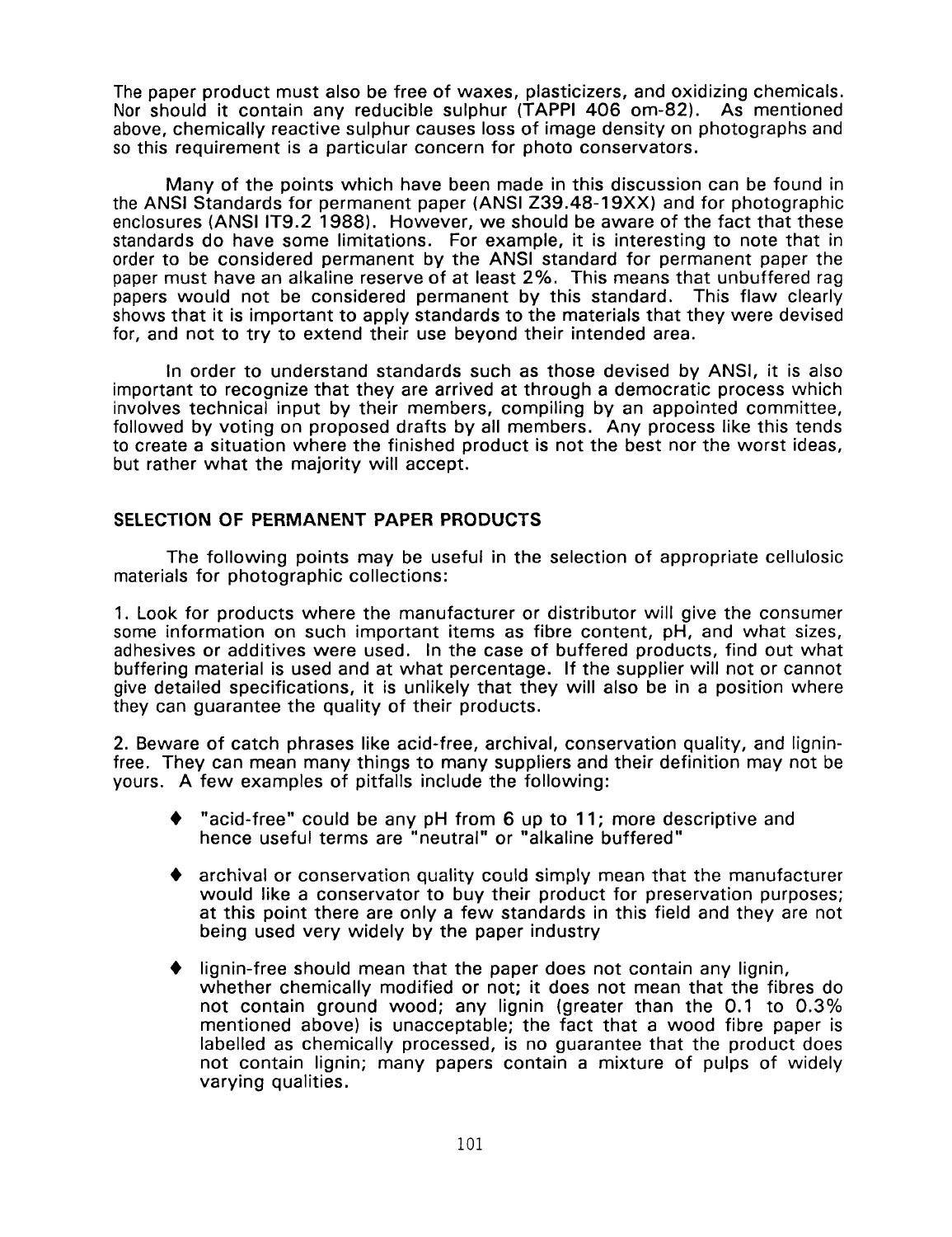The paper product must also be free of waxes, plasticizers, and oxidizing chemicals. Nor should it contain any reducible sulphur (TAPPI 406 om-82). As mentioned above, chemically reactive sulphur causes loss of image density on photographs and so this requirement is a particular concern for photo conservators.

Many of the points which have been made in this discussion can be found in the ANSI Standards for permanent paper (ANSI Z39.48-19XX) and for photographic enclosures (ANSI IT9.2 1988). However, we should be aware of the fact that these standards do have some limitations. For example, it is interesting to note that in order to be considered permanent by the ANSI standard for permanent paper the paper must have an alkaline reserve of at least 2%. This means that unbuffered rag papers would not be considered permanent by this standard. This flaw clearly shows that it is important to apply standards to the materials that they were devised for, and not to try to extend their use beyond their intended area.

In order to understand standards such as those devised by ANSI, it is also important to recognize that they are arrived at through a democratic process which involves technical input by their members, compiling by an appointed committee, followed by voting on proposed drafts by all members. Any process like this tends to create a situation where the finished product is not the best nor the worst ideas, but rather what the majority will accept.

# **SELECTION OF PERMANENT PAPER PRODUCTS**

The following points may be useful in the selection of appropriate cellulosic materials for photographic collections:

1. **Look** for products where the manufacturer or distributor will give the consumer some information on such important items as fibre content, pH, and what sizes, adhesives or additives were used. In the case of buffered products, find out what buffering material is used and at what percentage. If the supplier will not or cannot give detailed specifications, it is unlikely that they will also be in a position where they can guarantee the quality of their products.

2. Beware of catch phrases like acid-free, archival, conservation quality, and ligninfree. They can mean many things to many suppliers and their definition may not be yours. A few examples of pitfalls include the following:

- "acid-free" could be any pH from 6 up to 11; more descriptive and hence useful terms are "neutral" or "alkaline buffered"
- archival or conservation quality could simply mean that the manufacturer would like a conservator to buy their product for preservation purposes; at this point there are only a few standards in this field and they are not being used very widely by the paper industry
- lignin-free should mean that the paper does not contain any lignin, whether chemically modified or not; it does not mean that the fibres do not contain ground wood; any lignin (greater than the 0.1 to 0.3% mentioned above) is unacceptable; the fact that a wood fibre paper is labelled as chemically processed, is no guarantee that the product does not contain lignin; many papers contain a mixture of pulps of widely varying qualities.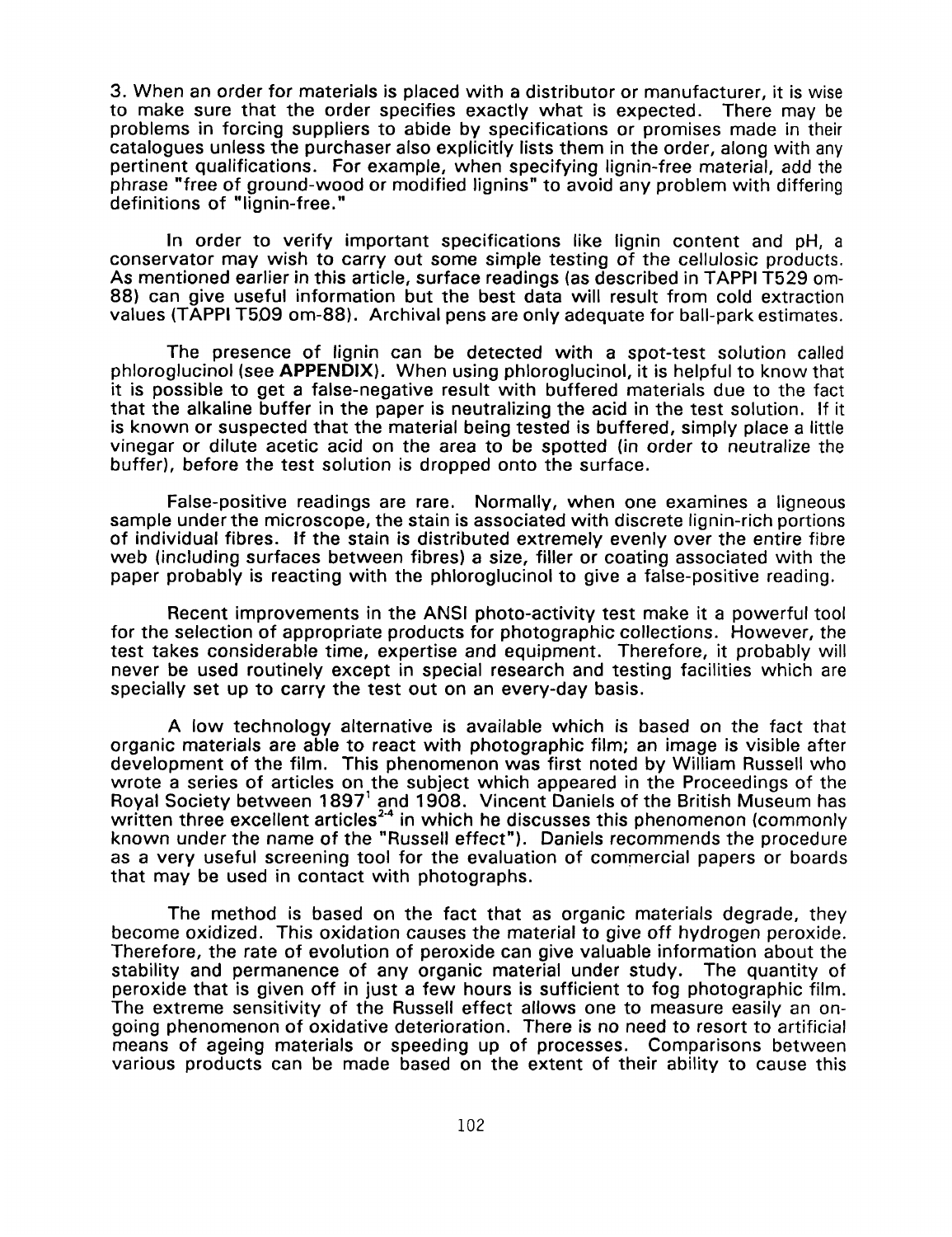3. When an order for materials is placed with a distributor or manufacturer, it is wise to make sure that the order specifies exactly what is expected. There may be problems in forcing suppliers to abide by specifications or promises made in their catalogues unless the purchaser also explicitly lists them in the order, along with any pertinent qualifications. For example, when specifying lignin-free material, add the phrase "free of ground-wood or modified lignins" to avoid any problem with differing definitions of "lignin-free."

In order to verify important specifications like lignin content and pH, a conservator may wish to carry out some simple testing of the cellulosic products. **As** mentioned earlier in this article, surface readings (as described in TAPPI T529 om-88) can give useful information but the best data will result from cold extraction values (TAPPI T5D9 om-88). Archival pens are only adequate for ball-park estimates.

The presence of lignin can be detected with a spot-test solution called phloroglucinol (see **APPENDIX).** When using phloroglucinol, it is helpful to know that it is possible to get a false-negative result with buffered materials due to the fact that the alkaline buffer in the paper is neutralizing the acid in the test solution. If it is known or suspected that the material being tested is buffered, simply place a little vinegar or dilute acetic acid on the area **to** be spotted (in order to neutralize the buffer), before the test solution is dropped onto the surface.

False-positive readings are rare. Normally, when one examines a ligneous sample under the microscope, the stain is associated with discrete lignin-rich portions of individual fibres. if the stain is distributed extremely evenly over the entire fibre web (including surfaces between fibres) a size, filler or coating associated with the paper probably is reacting with the phloroglucinol to give a false-positive reading.

Recent improvements in the ANSI photo-activity test make it a powerful tool for the selection of appropriate products for photographic collections. However, the test takes considerable time, expertise and equipment. Therefore, it probably will never be used routinely except in special research and testing facilities which are specially set up to carry the test out on an every-day basis.

A low technology alternative **is** available which is based on the fact that organic materials are able to react with photographic film; an image is visible after development of the film. This phenomenon was first noted by William Russell who wrote a series of articles on the subject which appeared in the Proceedings of the Royal Society between 1897' and 1908. Vincent Daniels of the British Museum has written three excellent articles<sup>24</sup> in which he discusses this phenomenon (commonly known under the name of the "Russell effect"). Daniels recommends the procedure as a very useful screening tool for the evaluation of commercial papers or boards that may be used in contact with photographs.

The method is based on the fact that as organic materials degrade, they become oxidized. This oxidation causes the material to give off hydrogen peroxide. Therefore, the rate **of** evolution of peroxide can give valuable information about the stability and permanence of any organic material under study. The quantity of peroxide that is given off in just a few hours is sufficient to fog photographic film. The extreme sensitivity of the Russell effect allows one to measure easily an ongoing phenomenon of oxidative deterioration. There *is* no need to resort to artificial means of ageing materials or speeding up of processes. Comparisons between various products can be made based on the extent of their ability to cause this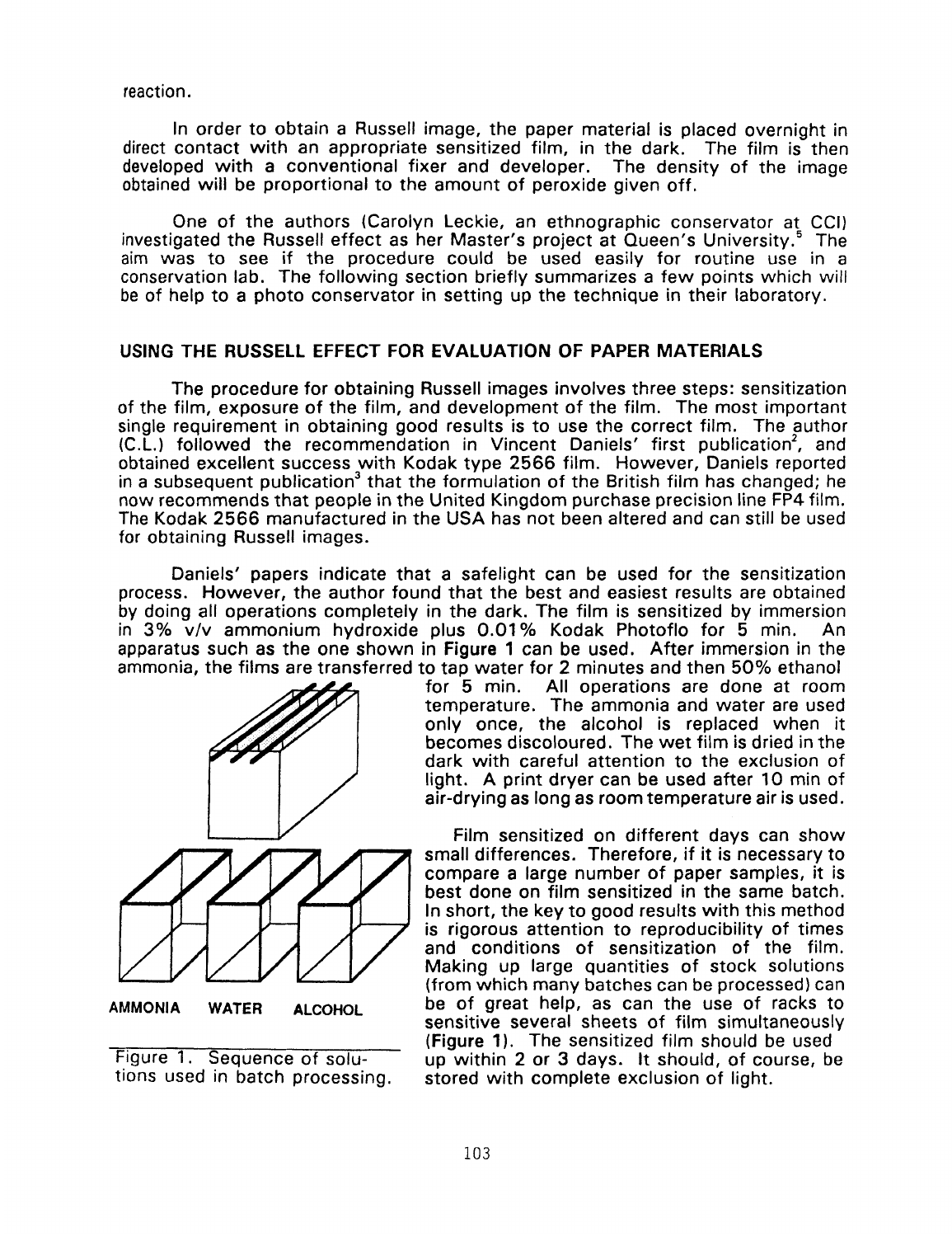reaction.

In order to obtain a Russell image, the paper material is placed overnight in direct contact with an appropriate sensitized film, in the dark. The film is then developed with a conventional fixer and developer. The density of the image developed with a conventional fixer and developer. obtained will be proportional to the amount of peroxide given off.

One of the authors (Carolyn Leckie, an ethnographic conservator at CCI) investigated the Russell effect as her Master's project at Queen's University.<sup>5</sup> The aim was to see if the procedure could be used easily for routine use in a conservation lab. The following section briefly summarizes a few points which will be of help to a photo conservator in setting up the technique in their laboratory.

#### **USING THE RUSSELL EFFECT FOR EVALUATION OF PAPER MATERIALS**

The procedure for obtaining Russell images involves three steps: sensitization of the film, exposure of the film, and development of the film. The most important single requirement in obtaining good results is to use the correct film. The author (C.L.) followed the recommendation in Vincent Daniels' first publication', and obtained excellent success with Kodak type **2566** film. However, Daniels reported in a subsequent publication<sup>3</sup> that the formulation of the British film has changed; he now recommends that people in the United Kingdom purchase precision line **FP4** film. The Kodak **2566** manufactured in the USA has not been altered and can still be used for obtaining Russell images.

Daniels' papers indicate that a safelight can be used for the sensitization process. However, the author found that the best and easiest results are obtained by doing **all** operations completely in the dark. The film is sensitized by immersion in **3%** v/v ammonium hydroxide plus 0.01% Kodak Photoflo for **5** min. An apparatus such as the one shown in Figure **1** can be used. After immersion in the ammonia, the films are transferred to tap water for **2** minutes and then **50%** ethanol



Figure **1.** Sequence of solutions used in batch processing.

All operations are done at room temperature. The ammonia and water are used only once, the alcohol is replaced when it becomes discoloured. The wet film **is** dried in the dark with careful attention to the exclusion of light. A print dryer can be used after 10 min of air-drying as long as room temperature air is used.

Film sensitized on different days can show small differences. Therefore, if it is necessary to compare a large number *of* paper samples, it is best done on film sensitized in the same batch. In short, the key to good results with this method is rigorous attention to reproducibility of times and conditions of sensitization *of* the film. Making up large quantities of stock solutions (from which many batches can be processed) can be of great help, as can the use of racks to sensitive several sheets of film simultaneously (Figure **1).** The sensitized film should be used up within **2** or **3** days. It should, of course, be stored with complete exclusion of light.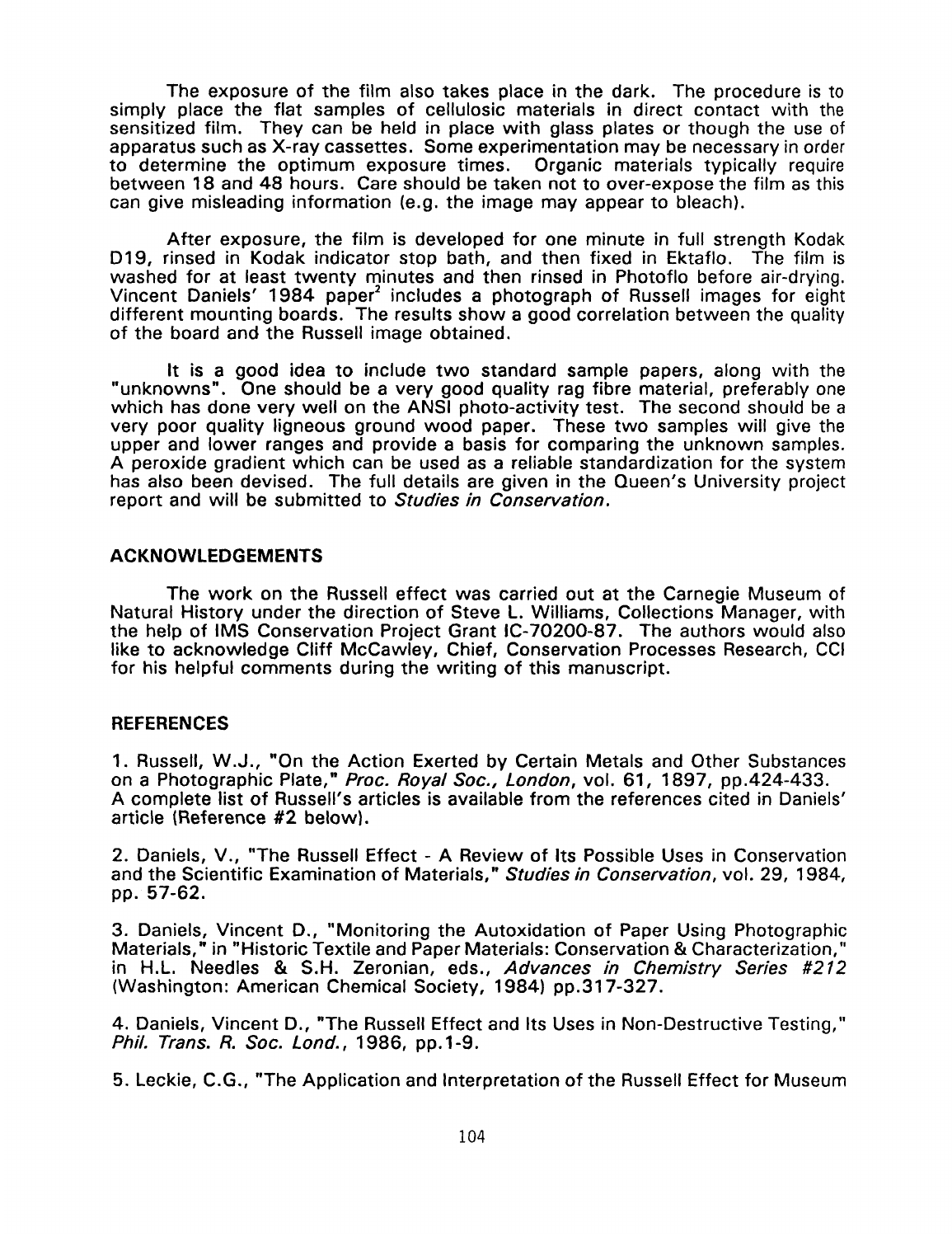The exposure of the film also takes place in the dark. The procedure is to simply place the flat samples of cellulosic materials in direct contact with the sensitized film. They can be held in place with glass plates or though the use of apparatus such as X-ray cassettes. Some experimentation may be necessary in order to determine the optimum exposure times. Organic materials typically require between 18 and 48 hours. Care should be taken not to over-expose the film as this can give misleading information (e.g. the image may appear to bleach).

After exposure, the film is developed for one minute in full strength Kodak D19, rinsed in Kodak indicator stop bath, and then fixed in Ektaflo. The film is washed for at least twenty minutes and then rinsed in Photoflo before air-drying. Vincent Daniels' 1984 paper' includes a photograph of Russell images for eight different mounting boards. The results show a good correlation between the quality of the board and the Russell image obtained.

It is a good idea to include two standard sample papers, along with the "unknowns". One should be a very good quality rag fibre material, preferably one which has done very well on the ANSI photo-activity test. The second should be a very poor quality ligneous ground wood paper. These two samples will give the upper and lower ranges and provide a basis for comparing the unknown samples. A peroxide gradient which can be used as a reliable standardization for the system has also been devised. The full details are given in the Queen's University project report and will be submitted to *Studies in Conservation.* 

## **ACKNOWLEDGEMENTS**

The work on the Russell effect was carried out at the Carnegie Museum *of*  Natural History under the direction of Steve L. Williams, Collections Manager, with the help of IMS Conservation Project Grant IC-70200-87. The authors would also like to acknowledge Cliff McCawley, Chief, Conservation Processes Research, CCI for his helpful comments during the writing of this manuscript.

# **REFERENCES**

1. Russell, W.J., "On the Action Exerted by Certain Metals and Other Substances on a Photographic Plate," *Roc. Royal SOC., London,* vol. 61, 1897, pp.424-433. A complete list of Russell's articles is available from the references cited in Daniels' article (Reference **#2** below).

2. Daniels, V., "The Russell Effect - A Review of Its Possible Uses in Conservation and the Scientific Examination of Materials," *Studies in Conservation,* vol. 29, 1984, pp. 57-62.

**3.** Daniels, Vincent D., "Monitoring the Autoxidation of Paper Using Photographic Materials," in "Historic Textile and Paper Materials: Conservation & Characterization," in H.L. Needles & S.H. Zeronian, eds., *Advances in Chemistry Series #212*  (Washington: American Chemical Society, 1984) pp.317-327.

4. Daniels, Vincent **D.,** "The Russell Effect and Its Uses in Non-Destructive Testing," *Phil. Trans. R. SOC. Lond.,* 1986, pp.l-9.

5. Leckie, C.G., "The Application and Interpretation of the Russell Effect for Museum